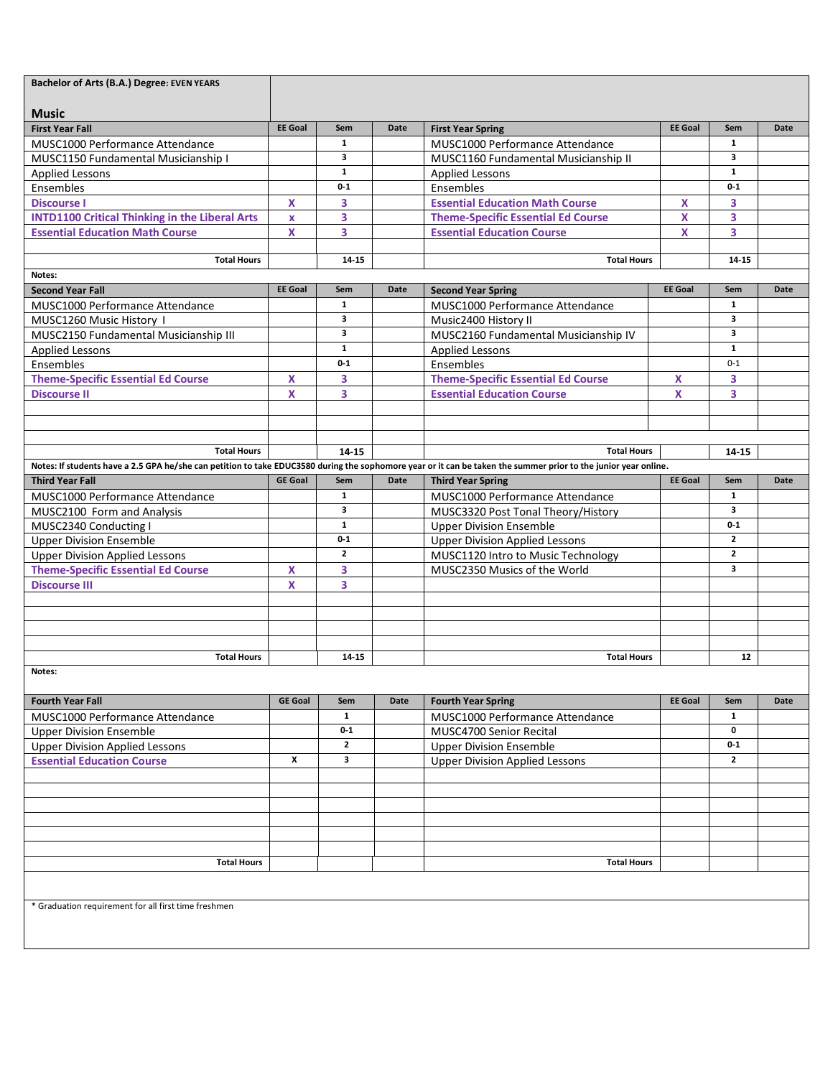| Bachelor of Arts (B.A.) Degree: EVEN YEARS                                                                                                                      |                    |                   |      |                                           |                |                   |             |
|-----------------------------------------------------------------------------------------------------------------------------------------------------------------|--------------------|-------------------|------|-------------------------------------------|----------------|-------------------|-------------|
|                                                                                                                                                                 |                    |                   |      |                                           |                |                   |             |
| <b>Music</b>                                                                                                                                                    |                    |                   |      |                                           |                |                   |             |
| <b>First Year Fall</b>                                                                                                                                          | <b>EE</b> Goal     | Sem               | Date | <b>First Year Spring</b>                  | <b>EE</b> Goal | Sem               | Date        |
| MUSC1000 Performance Attendance                                                                                                                                 |                    | 1                 |      | MUSC1000 Performance Attendance           |                | $\mathbf{1}$      |             |
| MUSC1150 Fundamental Musicianship I                                                                                                                             |                    | 3<br>$\mathbf{1}$ |      | MUSC1160 Fundamental Musicianship II      |                | 3<br>$\mathbf{1}$ |             |
| <b>Applied Lessons</b>                                                                                                                                          |                    | $0 - 1$           |      | <b>Applied Lessons</b>                    |                | $0 - 1$           |             |
| Ensembles                                                                                                                                                       |                    |                   |      | Ensembles                                 |                |                   |             |
| <b>Discourse I</b>                                                                                                                                              | X                  | 3                 |      | <b>Essential Education Math Course</b>    | X              | 3                 |             |
| <b>INTD1100 Critical Thinking in the Liberal Arts</b>                                                                                                           | $\pmb{\mathsf{X}}$ | 3                 |      | <b>Theme-Specific Essential Ed Course</b> | X              | 3                 |             |
| <b>Essential Education Math Course</b>                                                                                                                          | X                  | 3                 |      | <b>Essential Education Course</b>         | <b>X</b>       | 3                 |             |
|                                                                                                                                                                 |                    |                   |      |                                           |                |                   |             |
| <b>Total Hours</b>                                                                                                                                              |                    | 14-15             |      | <b>Total Hours</b>                        |                | 14-15             |             |
| Notes:                                                                                                                                                          |                    |                   |      |                                           |                |                   |             |
| <b>Second Year Fall</b>                                                                                                                                         | <b>EE</b> Goal     | Sem               | Date | <b>Second Year Spring</b>                 | <b>EE Goal</b> | Sem               | <b>Date</b> |
| MUSC1000 Performance Attendance                                                                                                                                 |                    | 1                 |      | MUSC1000 Performance Attendance           |                | $\mathbf{1}$      |             |
| MUSC1260 Music History I                                                                                                                                        |                    | 3                 |      | Music2400 History II                      |                | 3                 |             |
| MUSC2150 Fundamental Musicianship III                                                                                                                           |                    | 3                 |      | MUSC2160 Fundamental Musicianship IV      |                | 3                 |             |
| <b>Applied Lessons</b>                                                                                                                                          |                    | $\mathbf{1}$      |      | <b>Applied Lessons</b>                    |                | $\mathbf{1}$      |             |
| Ensembles                                                                                                                                                       |                    | $0 - 1$           |      | Ensembles                                 |                | $0 - 1$           |             |
| <b>Theme-Specific Essential Ed Course</b>                                                                                                                       | X                  | 3                 |      | <b>Theme-Specific Essential Ed Course</b> | X              | 3                 |             |
| <b>Discourse II</b>                                                                                                                                             | X                  | 3                 |      | <b>Essential Education Course</b>         | X              | 3                 |             |
|                                                                                                                                                                 |                    |                   |      |                                           |                |                   |             |
|                                                                                                                                                                 |                    |                   |      |                                           |                |                   |             |
|                                                                                                                                                                 |                    |                   |      |                                           |                |                   |             |
| <b>Total Hours</b>                                                                                                                                              |                    | 14 15             |      | <b>Total Hours</b>                        |                | 14 15             |             |
| Notes: If students have a 2.5 GPA he/she can petition to take EDUC3580 during the sophomore year or it can be taken the summer prior to the junior year online. |                    |                   |      |                                           |                |                   |             |
| <b>Third Year Fall</b>                                                                                                                                          | <b>GE Goal</b>     | Sem               | Date | <b>Third Year Spring</b>                  | <b>EE</b> Goal | Sem               | Date        |
| MUSC1000 Performance Attendance                                                                                                                                 |                    | 1                 |      | MUSC1000 Performance Attendance           |                | $\mathbf{1}$      |             |
| MUSC2100 Form and Analysis                                                                                                                                      |                    | 3                 |      | MUSC3320 Post Tonal Theory/History        |                | 3                 |             |
| MUSC2340 Conducting I                                                                                                                                           |                    | $\mathbf{1}$      |      | <b>Upper Division Ensemble</b>            |                | $0 - 1$           |             |
| <b>Upper Division Ensemble</b>                                                                                                                                  |                    | $0 - 1$           |      | <b>Upper Division Applied Lessons</b>     |                | $\mathbf{2}$      |             |
| <b>Upper Division Applied Lessons</b>                                                                                                                           |                    | $\mathbf{2}$      |      | MUSC1120 Intro to Music Technology        |                | $\mathbf{z}$      |             |
| <b>Theme-Specific Essential Ed Course</b>                                                                                                                       | X                  | 3                 |      | MUSC2350 Musics of the World              |                | 3                 |             |
| <b>Discourse III</b>                                                                                                                                            | X                  | 3                 |      |                                           |                |                   |             |
|                                                                                                                                                                 |                    |                   |      |                                           |                |                   |             |
|                                                                                                                                                                 |                    |                   |      |                                           |                |                   |             |
|                                                                                                                                                                 |                    |                   |      |                                           |                |                   |             |
|                                                                                                                                                                 |                    |                   |      |                                           |                |                   |             |
| <b>Total Hours</b>                                                                                                                                              |                    | 14-15             |      | <b>Total Hours</b>                        |                | 12                |             |
|                                                                                                                                                                 |                    |                   |      |                                           |                |                   |             |
| Notes:                                                                                                                                                          |                    |                   |      |                                           |                |                   |             |
| <b>Fourth Year Fall</b>                                                                                                                                         | <b>GE Goal</b>     | Sem               | Date | <b>Fourth Year Spring</b>                 | <b>EE Goal</b> | Sem               | Date        |
|                                                                                                                                                                 |                    | $\mathbf{1}$      |      |                                           |                | $\mathbf{1}$      |             |
| MUSC1000 Performance Attendance                                                                                                                                 |                    |                   |      | MUSC1000 Performance Attendance           |                | 0                 |             |
| <b>Upper Division Ensemble</b>                                                                                                                                  |                    | $0-1$             |      | MUSC4700 Senior Recital                   |                |                   |             |
| <b>Upper Division Applied Lessons</b>                                                                                                                           |                    | $\mathbf{2}$      |      | <b>Upper Division Ensemble</b>            |                | $0-1$             |             |
| <b>Essential Education Course</b>                                                                                                                               | x                  | 3                 |      | <b>Upper Division Applied Lessons</b>     |                | $\mathbf{2}$      |             |
|                                                                                                                                                                 |                    |                   |      |                                           |                |                   |             |
|                                                                                                                                                                 |                    |                   |      |                                           |                |                   |             |
|                                                                                                                                                                 |                    |                   |      |                                           |                |                   |             |
|                                                                                                                                                                 |                    |                   |      |                                           |                |                   |             |
|                                                                                                                                                                 |                    |                   |      |                                           |                |                   |             |
|                                                                                                                                                                 |                    |                   |      |                                           |                |                   |             |
| <b>Total Hours</b>                                                                                                                                              |                    |                   |      | <b>Total Hours</b>                        |                |                   |             |
|                                                                                                                                                                 |                    |                   |      |                                           |                |                   |             |
|                                                                                                                                                                 |                    |                   |      |                                           |                |                   |             |
| * Graduation requirement for all first time freshmen                                                                                                            |                    |                   |      |                                           |                |                   |             |
|                                                                                                                                                                 |                    |                   |      |                                           |                |                   |             |
|                                                                                                                                                                 |                    |                   |      |                                           |                |                   |             |
|                                                                                                                                                                 |                    |                   |      |                                           |                |                   |             |